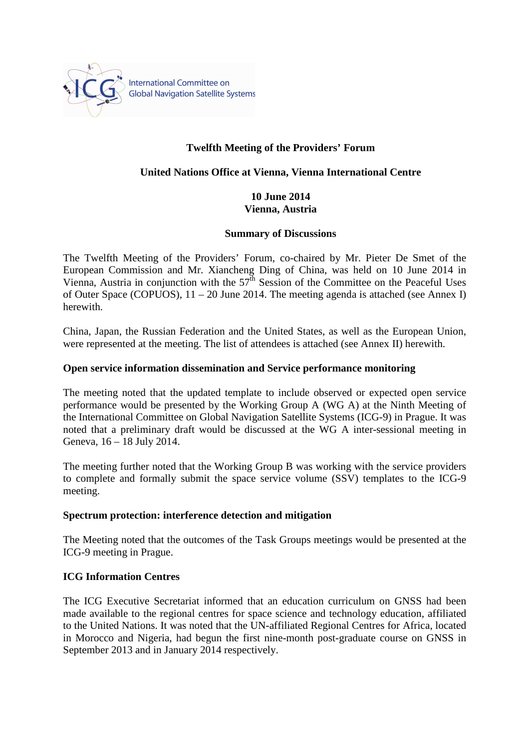

# **Twelfth Meeting of the Providers' Forum**

# **United Nations Office at Vienna, Vienna International Centre**

# **10 June 2014 Vienna, Austria**

### **Summary of Discussions**

The Twelfth Meeting of the Providers' Forum, co-chaired by Mr. Pieter De Smet of the European Commission and Mr. Xiancheng Ding of China, was held on 10 June 2014 in Vienna, Austria in conjunction with the  $57<sup>th</sup>$  Session of the Committee on the Peaceful Uses of Outer Space (COPUOS), 11 – 20 June 2014. The meeting agenda is attached (see Annex I) herewith.

China, Japan, the Russian Federation and the United States, as well as the European Union, were represented at the meeting. The list of attendees is attached (see Annex II) herewith.

### **Open service information dissemination and Service performance monitoring**

The meeting noted that the updated template to include observed or expected open service performance would be presented by the Working Group A (WG A) at the Ninth Meeting of the International Committee on Global Navigation Satellite Systems (ICG-9) in Prague. It was noted that a preliminary draft would be discussed at the WG A inter-sessional meeting in Geneva, 16 – 18 July 2014.

The meeting further noted that the Working Group B was working with the service providers to complete and formally submit the space service volume (SSV) templates to the ICG-9 meeting.

### **Spectrum protection: interference detection and mitigation**

The Meeting noted that the outcomes of the Task Groups meetings would be presented at the ICG-9 meeting in Prague.

### **ICG Information Centres**

The ICG Executive Secretariat informed that an education curriculum on GNSS had been made available to the regional centres for space science and technology education, affiliated to the United Nations. It was noted that the UN-affiliated Regional Centres for Africa, located in Morocco and Nigeria, had begun the first nine-month post-graduate course on GNSS in September 2013 and in January 2014 respectively.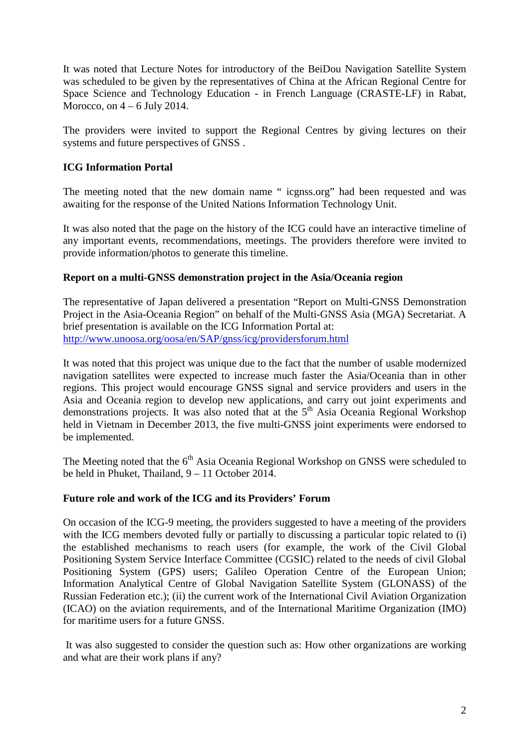It was noted that Lecture Notes for introductory of the BeiDou Navigation Satellite System was scheduled to be given by the representatives of China at the African Regional Centre for Space Science and Technology Education - in French Language (CRASTE-LF) in Rabat, Morocco, on  $4 - 6$  July 2014.

The providers were invited to support the Regional Centres by giving lectures on their systems and future perspectives of GNSS .

# **ICG Information Portal**

The meeting noted that the new domain name " icgnss.org" had been requested and was awaiting for the response of the United Nations Information Technology Unit.

It was also noted that the page on the history of the ICG could have an interactive timeline of any important events, recommendations, meetings. The providers therefore were invited to provide information/photos to generate this timeline.

### **Report on a multi-GNSS demonstration project in the Asia/Oceania region**

The representative of Japan delivered a presentation "Report on Multi-GNSS Demonstration Project in the Asia-Oceania Region" on behalf of the Multi-GNSS Asia (MGA) Secretariat. A brief presentation is available on the ICG Information Portal at: http://www.unoosa.org/oosa/en/SAP/gnss/icg/providersforum.html

It was noted that this project was unique due to the fact that the number of usable modernized navigation satellites were expected to increase much faster the Asia/Oceania than in other regions. This project would encourage GNSS signal and service providers and users in the Asia and Oceania region to develop new applications, and carry out joint experiments and demonstrations projects. It was also noted that at the  $5<sup>th</sup>$  Asia Oceania Regional Workshop held in Vietnam in December 2013, the five multi-GNSS joint experiments were endorsed to be implemented.

The Meeting noted that the  $6<sup>th</sup>$  Asia Oceania Regional Workshop on GNSS were scheduled to be held in Phuket, Thailand, 9 – 11 October 2014.

### **Future role and work of the ICG and its Providers' Forum**

On occasion of the ICG-9 meeting, the providers suggested to have a meeting of the providers with the ICG members devoted fully or partially to discussing a particular topic related to (i) the established mechanisms to reach users (for example, the work of the Civil Global Positioning System Service Interface Committee (CGSIC) related to the needs of civil Global Positioning System (GPS) users; Galileo Operation Centre of the European Union; Information Analytical Centre of Global Navigation Satellite System (GLONASS) of the Russian Federation etc.); (ii) the current work of the International Civil Aviation Organization (ICAO) on the aviation requirements, and of the International Maritime Organization (IMO) for maritime users for a future GNSS.

 It was also suggested to consider the question such as: How other organizations are working and what are their work plans if any?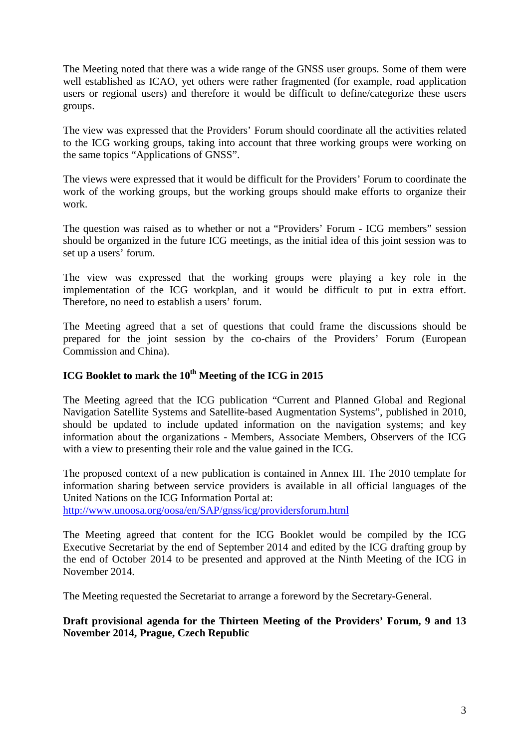The Meeting noted that there was a wide range of the GNSS user groups. Some of them were well established as ICAO, yet others were rather fragmented (for example, road application users or regional users) and therefore it would be difficult to define/categorize these users groups.

The view was expressed that the Providers' Forum should coordinate all the activities related to the ICG working groups, taking into account that three working groups were working on the same topics "Applications of GNSS".

The views were expressed that it would be difficult for the Providers' Forum to coordinate the work of the working groups, but the working groups should make efforts to organize their work.

The question was raised as to whether or not a "Providers' Forum - ICG members" session should be organized in the future ICG meetings, as the initial idea of this joint session was to set up a users' forum.

The view was expressed that the working groups were playing a key role in the implementation of the ICG workplan, and it would be difficult to put in extra effort. Therefore, no need to establish a users' forum.

The Meeting agreed that a set of questions that could frame the discussions should be prepared for the joint session by the co-chairs of the Providers' Forum (European Commission and China).

# **ICG Booklet to mark the 10th Meeting of the ICG in 2015**

The Meeting agreed that the ICG publication "Current and Planned Global and Regional Navigation Satellite Systems and Satellite-based Augmentation Systems", published in 2010, should be updated to include updated information on the navigation systems; and key information about the organizations - Members, Associate Members, Observers of the ICG with a view to presenting their role and the value gained in the ICG.

The proposed context of a new publication is contained in Annex III. The 2010 template for information sharing between service providers is available in all official languages of the United Nations on the ICG Information Portal at: http://www.unoosa.org/oosa/en/SAP/gnss/icg/providersforum.html

The Meeting agreed that content for the ICG Booklet would be compiled by the ICG Executive Secretariat by the end of September 2014 and edited by the ICG drafting group by the end of October 2014 to be presented and approved at the Ninth Meeting of the ICG in November 2014.

The Meeting requested the Secretariat to arrange a foreword by the Secretary-General.

**Draft provisional agenda for the Thirteen Meeting of the Providers' Forum, 9 and 13 November 2014, Prague, Czech Republic**